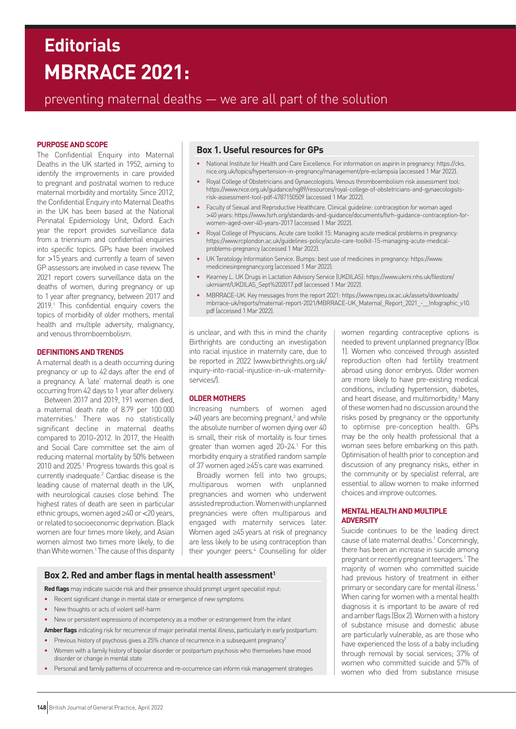# **MBRRACE 2021: Editorials**

# preventing maternal deaths — we are all part of the solution

## **PURPOSE AND SCOPE**

The Confidential Enquiry into Maternal Deaths in the UK started in 1952, aiming to identify the improvements in care provided to pregnant and postnatal women to reduce maternal morbidity and mortality. Since 2012, the Confidential Enquiry into Maternal Deaths in the UK has been based at the National Perinatal Epidemiology Unit, Oxford. Each year the report provides surveillance data from a triennium and confidential enquiries into specific topics. GPs have been involved for >15 years and currently a team of seven GP assessors are involved in case review. The 2021 report covers surveillance data on the deaths of women, during pregnancy or up to 1 year after pregnancy, between 2017 and 2019.<sup>1</sup> This confidential enquiry covers the topics of morbidity of older mothers, mental health and multiple adversity, malignancy, and venous thromboembolism.

#### **DEFINITIONS AND TRENDS**

A maternal death is a death occurring during pregnancy or up to 42 days after the end of a pregnancy. A 'late' maternal death is one occurring from 42 days to 1 year after delivery.

Between 2017 and 2019, 191 women died, a maternal death rate of 8.79 per 100 000 maternities.1 There was no statistically significant decline in maternal deaths compared to 2010–2012. In 2017, the Health and Social Care committee set the aim of reducing maternal mortality by 50% between 2010 and 2025.<sup>1</sup> Progress towards this goal is currently inadequate.2 Cardiac disease is the leading cause of maternal death in the UK, with neurological causes close behind. The highest rates of death are seen in particular ethnic groups, women aged ≥40 or <20 years, or related to socioeconomic deprivation. Black women are four times more likely, and Asian women almost two times more likely, to die than White women.<sup>1</sup> The cause of this disparity

# **Box 1. Useful resources for GPs**

- National Institute for Health and Care Excellence. For information on aspirin in pregnancy: [https://cks.](https://cks.nice.org.uk/topics/hypertension-in-pregnancy/management/pre-eclampsia) [nice.org.uk/topics/hypertension-in-pregnancy/management/pre-eclampsia](https://cks.nice.org.uk/topics/hypertension-in-pregnancy/management/pre-eclampsia) (accessed 1 Mar 2022).
- Royal College of Obstetricians and Gynaecologists. Venous thromboembolism risk assessment tool: [https://www.nice.org.uk/guidance/ng89/resources/royal-college-of-obstetricians-and-gynaecologists](https://www.nice.org.uk/guidance/ng89/resources/royal-college-of-obstetricians-and-gynaecologists-risk-assessment-tool-pdf-4787150509)[risk-assessment-tool-pdf-4787150509](https://www.nice.org.uk/guidance/ng89/resources/royal-college-of-obstetricians-and-gynaecologists-risk-assessment-tool-pdf-4787150509) (accessed 1 Mar 2022).
- Faculty of Sexual and Reproductive Healthcare. Clinical guideline: contraception for woman aged >40 years: [https://www.fsrh.org/standards-and-guidance/documents/fsrh-guidance-contraception-for](https://www.fsrh.org/standards-and-guidance/documents/fsrh-guidance-contraception-for-women-aged-over-40-years-2017)[women-aged-over-40-years-2017](https://www.fsrh.org/standards-and-guidance/documents/fsrh-guidance-contraception-for-women-aged-over-40-years-2017) (accessed 1 Mar 2022).
- Royal College of Physicians. Acute care toolkit 15: Managing acute medical problems in pregnancy: [https://www.rcplondon.ac.uk/guidelines-policy/acute-care-toolkit-15-managing-acute-medical](https://www.rcplondon.ac.uk/guidelines-policy/acute-care-toolkit-15-managing-acute-medical-problems-pregnancy)[problems-pregnancy](https://www.rcplondon.ac.uk/guidelines-policy/acute-care-toolkit-15-managing-acute-medical-problems-pregnancy) (accessed 1 Mar 2022).
- UK Teratology Information Service. Bumps: best use of medicines in pregnancy: [https://www.](https://www.medicinesinpregnancy.org) [medicinesinpregnancy.org](https://www.medicinesinpregnancy.org) (accessed 1 Mar 2022).
- Kearney L. UK Drugs in Lactation Advisory Service (UKDILAS): [https://www.ukmi.nhs.uk/filestore/](https://www.ukmi.nhs.uk/filestore/ukmiamt/UKDILAS_Sept%202017.pdf) [ukmiamt/UKDILAS\\_Sept%202017.pdf](https://www.ukmi.nhs.uk/filestore/ukmiamt/UKDILAS_Sept%202017.pdf) (accessed 1 Mar 2022).
- MBRRACE-UK. Key messages from the report 2021: [https://www.npeu.ox.ac.uk/assets/downloads/](https://www.npeu.ox.ac.uk/assets/downloads/mbrrace-uk/reports/maternal-report-2021/MBRRACE-UK_Maternal_Report_2021_-__Infographic_v10.pdf) [mbrrace-uk/reports/maternal-report-2021/MBRRACE-UK\\_Maternal\\_Report\\_2021\\_-\\_\\_Infographic\\_v10.](https://www.npeu.ox.ac.uk/assets/downloads/mbrrace-uk/reports/maternal-report-2021/MBRRACE-UK_Maternal_Report_2021_-__Infographic_v10.pdf) [pdf](https://www.npeu.ox.ac.uk/assets/downloads/mbrrace-uk/reports/maternal-report-2021/MBRRACE-UK_Maternal_Report_2021_-__Infographic_v10.pdf) (accessed 1 Mar 2022).

is unclear, and with this in mind the charity Birthrights are conducting an investigation into racial injustice in maternity care, due to be reported in 2022 [\(www.birthrights.org.uk/](http://www.birthrights.org.uk/inquiry-into-racial-injustice-in-uk-maternity-services/) [inquiry-into-racial-injustice-in-uk-maternity](http://www.birthrights.org.uk/inquiry-into-racial-injustice-in-uk-maternity-services/)[services/](http://www.birthrights.org.uk/inquiry-into-racial-injustice-in-uk-maternity-services/)).

# **OLDER MOTHERS**

Increasing numbers of women aged >40 years are becoming pregnant,<sup>3</sup> and while the absolute number of women dying over 40 is small, their risk of mortality is four times greater than women aged 20-24.<sup>1</sup> For this morbidity enquiry a stratified random sample of 37 women aged ≥45's care was examined.

Broadly women fell into two groups; multiparous women with unplanned pregnancies and women who underwent assisted reproduction. Women with unplanned pregnancies were often multiparous and engaged with maternity services later. Women aged ≥45 years at risk of pregnancy are less likely to be using contraception than their younger peers.4 Counselling for older women regarding contraceptive options is needed to prevent unplanned pregnancy (Box 1). Women who conceived through assisted reproduction often had fertility treatment abroad using donor embryos. Older women are more likely to have pre-existing medical conditions, including hypertension, diabetes, and heart disease, and multimorbidity.<sup>3</sup> Many of these women had no discussion around the risks posed by pregnancy or the opportunity to optimise pre-conception health. GPs may be the only health professional that a woman sees before embarking on this path. Optimisation of health prior to conception and discussion of any pregnancy risks, either in the community or by specialist referral, are essential to allow women to make informed choices and improve outcomes.

# **MENTAL HEALTH AND MULTIPLE ADVERSITY**

Suicide continues to be the leading direct cause of late maternal deaths.<sup>1</sup> Concerningly, there has been an increase in suicide among pregnant or recently pregnant teenagers.1 The majority of women who committed suicide had previous history of treatment in either primary or secondary care for mental illness.<sup>1</sup> When caring for women with a mental health diagnosis it is important to be aware of red and amber flags (Box 2). Women with a history of substance misuse and domestic abuse are particularly vulnerable, as are those who have experienced the loss of a baby including through removal by social services; 37% of women who committed suicide and 57% of women who died from substance misuse

# **Box 2. Red and amber flags in mental health assessment<sup>1</sup>**

**Red flags** may indicate suicide risk and their presence should prompt urgent specialist input:

- Recent significant change in mental state or emergence of new symptoms
- New thoughts or acts of violent self-harm
- New or persistent expressions of incompetency as a mother or estrangement from the infant

**Amber flags** indicating risk for recurrence of major perinatal mental illness, particularly in early postpartum:

- Previous history of psychosis gives a 25% chance of recurrence in a subsequent pregnancy<sup>7</sup>
- Women with a family history of bipolar disorder or postpartum psychosis who themselves have mood disorder or change in mental state
- Personal and family patterns of occurrence and re-occurrence can inform risk management strategies